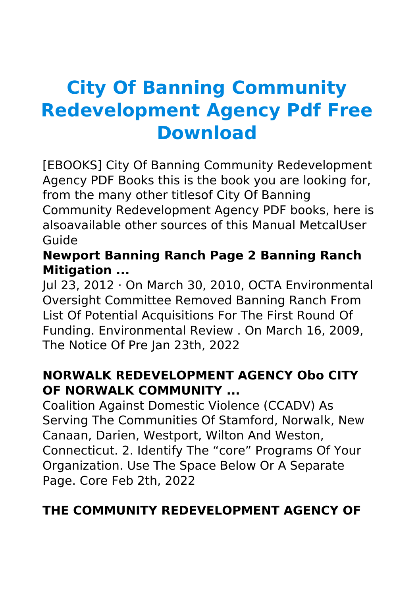# **City Of Banning Community Redevelopment Agency Pdf Free Download**

[EBOOKS] City Of Banning Community Redevelopment Agency PDF Books this is the book you are looking for, from the many other titlesof City Of Banning Community Redevelopment Agency PDF books, here is alsoavailable other sources of this Manual MetcalUser Guide

# **Newport Banning Ranch Page 2 Banning Ranch Mitigation ...**

Jul 23, 2012 · On March 30, 2010, OCTA Environmental Oversight Committee Removed Banning Ranch From List Of Potential Acquisitions For The First Round Of Funding. Environmental Review . On March 16, 2009, The Notice Of Pre Jan 23th, 2022

# **NORWALK REDEVELOPMENT AGENCY Obo CITY OF NORWALK COMMUNITY ...**

Coalition Against Domestic Violence (CCADV) As Serving The Communities Of Stamford, Norwalk, New Canaan, Darien, Westport, Wilton And Weston, Connecticut. 2. Identify The "core" Programs Of Your Organization. Use The Space Below Or A Separate Page. Core Feb 2th, 2022

# **THE COMMUNITY REDEVELOPMENT AGENCY OF**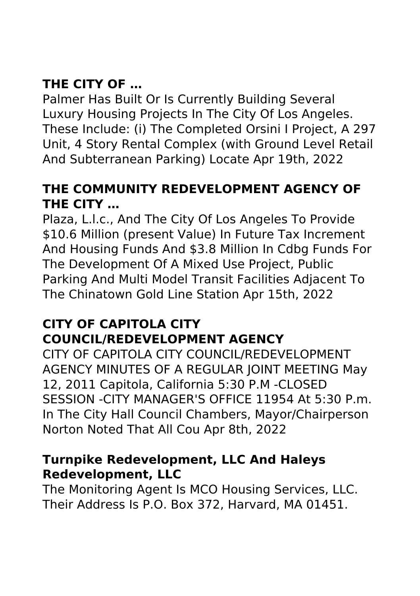# **THE CITY OF …**

Palmer Has Built Or Is Currently Building Several Luxury Housing Projects In The City Of Los Angeles. These Include: (i) The Completed Orsini I Project, A 297 Unit, 4 Story Rental Complex (with Ground Level Retail And Subterranean Parking) Locate Apr 19th, 2022

# **THE COMMUNITY REDEVELOPMENT AGENCY OF THE CITY …**

Plaza, L.l.c., And The City Of Los Angeles To Provide \$10.6 Million (present Value) In Future Tax Increment And Housing Funds And \$3.8 Million In Cdbg Funds For The Development Of A Mixed Use Project, Public Parking And Multi Model Transit Facilities Adjacent To The Chinatown Gold Line Station Apr 15th, 2022

# **CITY OF CAPITOLA CITY COUNCIL/REDEVELOPMENT AGENCY**

CITY OF CAPITOLA CITY COUNCIL/REDEVELOPMENT AGENCY MINUTES OF A REGULAR JOINT MEETING May 12, 2011 Capitola, California 5:30 P.M -CLOSED SESSION -CITY MANAGER'S OFFICE 11954 At 5:30 P.m. In The City Hall Council Chambers, Mayor/Chairperson Norton Noted That All Cou Apr 8th, 2022

#### **Turnpike Redevelopment, LLC And Haleys Redevelopment, LLC**

The Monitoring Agent Is MCO Housing Services, LLC. Their Address Is P.O. Box 372, Harvard, MA 01451.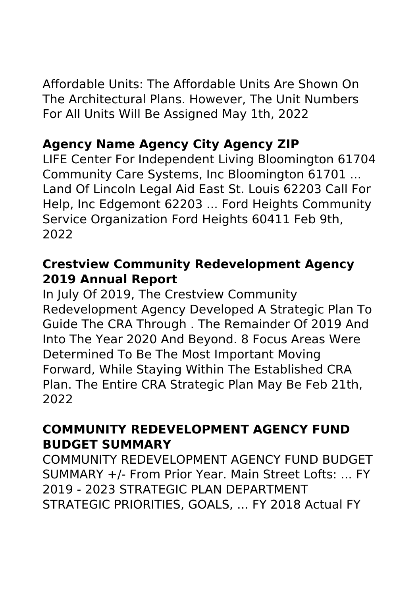Affordable Units: The Affordable Units Are Shown On The Architectural Plans. However, The Unit Numbers For All Units Will Be Assigned May 1th, 2022

# **Agency Name Agency City Agency ZIP**

LIFE Center For Independent Living Bloomington 61704 Community Care Systems, Inc Bloomington 61701 ... Land Of Lincoln Legal Aid East St. Louis 62203 Call For Help, Inc Edgemont 62203 ... Ford Heights Community Service Organization Ford Heights 60411 Feb 9th, 2022

#### **Crestview Community Redevelopment Agency 2019 Annual Report**

In July Of 2019, The Crestview Community Redevelopment Agency Developed A Strategic Plan To Guide The CRA Through . The Remainder Of 2019 And Into The Year 2020 And Beyond. 8 Focus Areas Were Determined To Be The Most Important Moving Forward, While Staying Within The Established CRA Plan. The Entire CRA Strategic Plan May Be Feb 21th, 2022

# **COMMUNITY REDEVELOPMENT AGENCY FUND BUDGET SUMMARY**

COMMUNITY REDEVELOPMENT AGENCY FUND BUDGET SUMMARY +/- From Prior Year. Main Street Lofts: ... FY 2019 - 2023 STRATEGIC PLAN DEPARTMENT STRATEGIC PRIORITIES, GOALS, ... FY 2018 Actual FY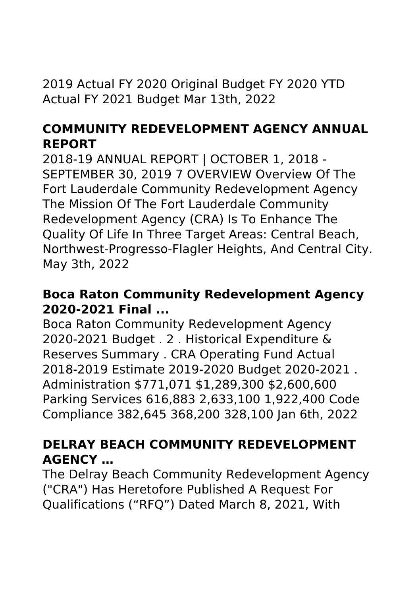2019 Actual FY 2020 Original Budget FY 2020 YTD Actual FY 2021 Budget Mar 13th, 2022

#### **COMMUNITY REDEVELOPMENT AGENCY ANNUAL REPORT**

2018-19 ANNUAL REPORT | OCTOBER 1, 2018 - SEPTEMBER 30, 2019 7 OVERVIEW Overview Of The Fort Lauderdale Community Redevelopment Agency The Mission Of The Fort Lauderdale Community Redevelopment Agency (CRA) Is To Enhance The Quality Of Life In Three Target Areas: Central Beach, Northwest-Progresso-Flagler Heights, And Central City. May 3th, 2022

#### **Boca Raton Community Redevelopment Agency 2020-2021 Final ...**

Boca Raton Community Redevelopment Agency 2020-2021 Budget . 2 . Historical Expenditure & Reserves Summary . CRA Operating Fund Actual 2018-2019 Estimate 2019-2020 Budget 2020-2021 . Administration \$771,071 \$1,289,300 \$2,600,600 Parking Services 616,883 2,633,100 1,922,400 Code Compliance 382,645 368,200 328,100 Jan 6th, 2022

# **DELRAY BEACH COMMUNITY REDEVELOPMENT AGENCY …**

The Delray Beach Community Redevelopment Agency ("CRA") Has Heretofore Published A Request For Qualifications ("RFQ") Dated March 8, 2021, With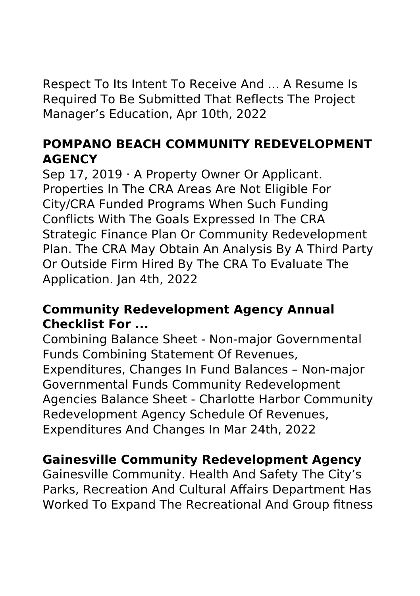Respect To Its Intent To Receive And ... A Resume Is Required To Be Submitted That Reflects The Project Manager's Education, Apr 10th, 2022

# **POMPANO BEACH COMMUNITY REDEVELOPMENT AGENCY**

Sep 17, 2019 · A Property Owner Or Applicant. Properties In The CRA Areas Are Not Eligible For City/CRA Funded Programs When Such Funding Conflicts With The Goals Expressed In The CRA Strategic Finance Plan Or Community Redevelopment Plan. The CRA May Obtain An Analysis By A Third Party Or Outside Firm Hired By The CRA To Evaluate The Application. Jan 4th, 2022

#### **Community Redevelopment Agency Annual Checklist For ...**

Combining Balance Sheet - Non-major Governmental Funds Combining Statement Of Revenues, Expenditures, Changes In Fund Balances – Non-major Governmental Funds Community Redevelopment Agencies Balance Sheet - Charlotte Harbor Community Redevelopment Agency Schedule Of Revenues, Expenditures And Changes In Mar 24th, 2022

#### **Gainesville Community Redevelopment Agency**

Gainesville Community. Health And Safety The City's Parks, Recreation And Cultural Affairs Department Has Worked To Expand The Recreational And Group fitness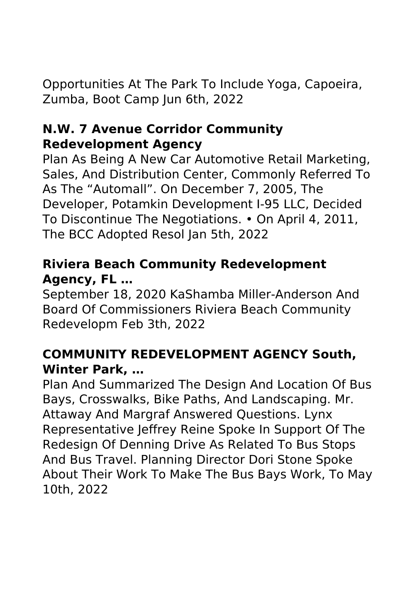Opportunities At The Park To Include Yoga, Capoeira, Zumba, Boot Camp Jun 6th, 2022

#### **N.W. 7 Avenue Corridor Community Redevelopment Agency**

Plan As Being A New Car Automotive Retail Marketing, Sales, And Distribution Center, Commonly Referred To As The "Automall". On December 7, 2005, The Developer, Potamkin Development I-95 LLC, Decided To Discontinue The Negotiations. • On April 4, 2011, The BCC Adopted Resol Jan 5th, 2022

# **Riviera Beach Community Redevelopment Agency, FL …**

September 18, 2020 KaShamba Miller-Anderson And Board Of Commissioners Riviera Beach Community Redevelopm Feb 3th, 2022

# **COMMUNITY REDEVELOPMENT AGENCY South, Winter Park, …**

Plan And Summarized The Design And Location Of Bus Bays, Crosswalks, Bike Paths, And Landscaping. Mr. Attaway And Margraf Answered Questions. Lynx Representative Jeffrey Reine Spoke In Support Of The Redesign Of Denning Drive As Related To Bus Stops And Bus Travel. Planning Director Dori Stone Spoke About Their Work To Make The Bus Bays Work, To May 10th, 2022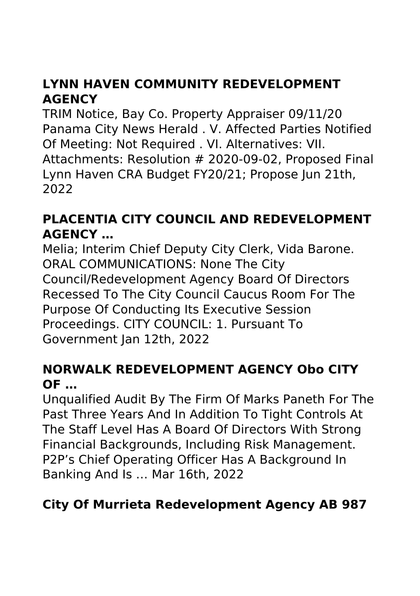# **LYNN HAVEN COMMUNITY REDEVELOPMENT AGENCY**

TRIM Notice, Bay Co. Property Appraiser 09/11/20 Panama City News Herald . V. Affected Parties Notified Of Meeting: Not Required . VI. Alternatives: VII. Attachments: Resolution # 2020-09-02, Proposed Final Lynn Haven CRA Budget FY20/21; Propose Jun 21th, 2022

# **PLACENTIA CITY COUNCIL AND REDEVELOPMENT AGENCY …**

Melia; Interim Chief Deputy City Clerk, Vida Barone. ORAL COMMUNICATIONS: None The City Council/Redevelopment Agency Board Of Directors Recessed To The City Council Caucus Room For The Purpose Of Conducting Its Executive Session Proceedings. CITY COUNCIL: 1. Pursuant To Government Jan 12th, 2022

# **NORWALK REDEVELOPMENT AGENCY Obo CITY OF …**

Unqualified Audit By The Firm Of Marks Paneth For The Past Three Years And In Addition To Tight Controls At The Staff Level Has A Board Of Directors With Strong Financial Backgrounds, Including Risk Management. P2P's Chief Operating Officer Has A Background In Banking And Is … Mar 16th, 2022

# **City Of Murrieta Redevelopment Agency AB 987**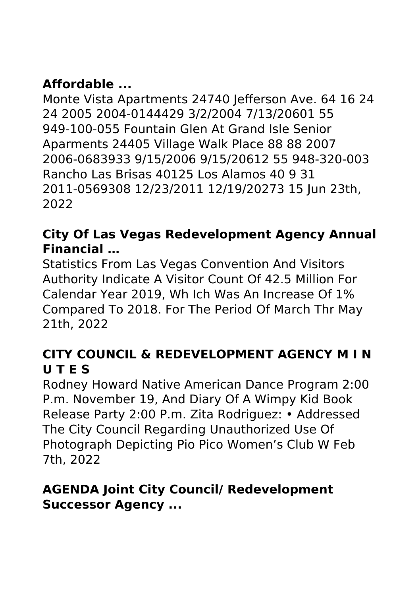# **Affordable ...**

Monte Vista Apartments 24740 Jefferson Ave. 64 16 24 24 2005 2004-0144429 3/2/2004 7/13/20601 55 949-100-055 Fountain Glen At Grand Isle Senior Aparments 24405 Village Walk Place 88 88 2007 2006-0683933 9/15/2006 9/15/20612 55 948-320-003 Rancho Las Brisas 40125 Los Alamos 40 9 31 2011-0569308 12/23/2011 12/19/20273 15 Jun 23th, 2022

# **City Of Las Vegas Redevelopment Agency Annual Financial …**

Statistics From Las Vegas Convention And Visitors Authority Indicate A Visitor Count Of 42.5 Million For Calendar Year 2019, Wh Ich Was An Increase Of 1% Compared To 2018. For The Period Of March Thr May 21th, 2022

#### **CITY COUNCIL & REDEVELOPMENT AGENCY M I N U T E S**

Rodney Howard Native American Dance Program 2:00 P.m. November 19, And Diary Of A Wimpy Kid Book Release Party 2:00 P.m. Zita Rodriguez: • Addressed The City Council Regarding Unauthorized Use Of Photograph Depicting Pio Pico Women's Club W Feb 7th, 2022

# **AGENDA Joint City Council/ Redevelopment Successor Agency ...**